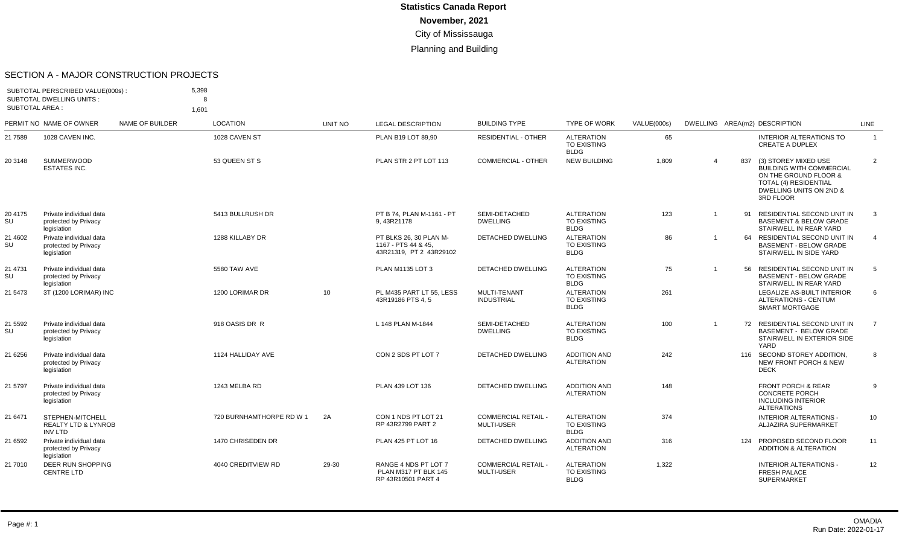#### SECTION A - MAJOR CONSTRUCTION PROJECTS

| <b>SUBTOTAL AREA:</b> | SUBTOTAL PERSCRIBED VALUE(000s):<br><b>SUBTOTAL DWELLING UNITS:</b>  |                 | 5,398<br>я.<br>1,601     |         |                                                                          |                                                 |                                                        |             |                         |     |                                                                                                                                                   |                |
|-----------------------|----------------------------------------------------------------------|-----------------|--------------------------|---------|--------------------------------------------------------------------------|-------------------------------------------------|--------------------------------------------------------|-------------|-------------------------|-----|---------------------------------------------------------------------------------------------------------------------------------------------------|----------------|
|                       | PERMIT NO NAME OF OWNER                                              | NAME OF BUILDER | LOCATION                 | UNIT NO | <b>LEGAL DESCRIPTION</b>                                                 | <b>BUILDING TYPE</b>                            | <b>TYPE OF WORK</b>                                    | VALUE(000s) |                         |     | DWELLING AREA(m2) DESCRIPTION                                                                                                                     | <b>LINE</b>    |
| 21 7589               | 1028 CAVEN INC.                                                      |                 | 1028 CAVEN ST            |         | PLAN B19 LOT 89,90                                                       | <b>RESIDENTIAL - OTHER</b>                      | <b>ALTERATION</b><br><b>TO EXISTING</b><br><b>BLDG</b> | 65          |                         |     | <b>INTERIOR ALTERATIONS TO</b><br><b>CREATE A DUPLEX</b>                                                                                          | $\overline{1}$ |
| 20 3148               | <b>SUMMERWOOD</b><br><b>ESTATES INC.</b>                             |                 | 53 QUEEN ST S            |         | PLAN STR 2 PT LOT 113                                                    | <b>COMMERCIAL - OTHER</b>                       | <b>NEW BUILDING</b>                                    | 1,809       | $\overline{4}$          | 837 | (3) STOREY MIXED USE<br><b>BUILDING WITH COMMERCIAL</b><br>ON THE GROUND FLOOR &<br>TOTAL (4) RESIDENTIAL<br>DWELLING UNITS ON 2ND &<br>3RD FLOOR | $\overline{2}$ |
| 20 4175<br>SU         | Private individual data<br>protected by Privacy<br>legislation       |                 | 5413 BULLRUSH DR         |         | PT B 74, PLAN M-1161 - PT<br>9, 43R21178                                 | SEMI-DETACHED<br><b>DWELLING</b>                | <b>ALTERATION</b><br><b>TO EXISTING</b><br>BLDG        | 123         | $\overline{1}$          |     | 91 RESIDENTIAL SECOND UNIT IN<br><b>BASEMENT &amp; BELOW GRADE</b><br>STAIRWELL IN REAR YARD                                                      | 3              |
| 21 4602<br>SU         | Private individual data<br>protected by Privacy<br>legislation       |                 | 1288 KILLABY DR          |         | PT BLKS 26, 30 PLAN M-<br>1167 - PTS 44 & 45.<br>43R21319, PT 2 43R29102 | <b>DETACHED DWELLING</b>                        | <b>ALTERATION</b><br><b>TO EXISTING</b><br><b>BLDG</b> | 86          |                         |     | 64 RESIDENTIAL SECOND UNIT IN<br><b>BASEMENT - BELOW GRADE</b><br>STAIRWELL IN SIDE YARD                                                          | $\overline{4}$ |
| 21 4731<br>SU         | Private individual data<br>protected by Privacy<br>legislation       |                 | 5580 TAW AVE             |         | PLAN M1135 LOT 3                                                         | <b>DETACHED DWELLING</b>                        | <b>ALTERATION</b><br><b>TO EXISTING</b><br><b>BLDG</b> | 75          | $\overline{\mathbf{1}}$ | 56  | RESIDENTIAL SECOND UNIT IN<br><b>BASEMENT - BELOW GRADE</b><br>STAIRWELL IN REAR YARD                                                             | 5              |
| 21 5473               | 3T (1200 LORIMAR) INC                                                |                 | 1200 LORIMAR DR          | 10      | PL M435 PART LT 55, LESS<br>43R19186 PTS 4.5                             | MULTI-TENANT<br><b>INDUSTRIAL</b>               | <b>ALTERATION</b><br><b>TO EXISTING</b><br><b>BLDG</b> | 261         |                         |     | <b>LEGALIZE AS-BUILT INTERIOR</b><br>ALTERATIONS - CENTUM<br>SMART MORTGAGE                                                                       | 6              |
| 21 5592<br>SU         | Private individual data<br>protected by Privacy<br>legislation       |                 | 918 OASIS DR R           |         | L 148 PLAN M-1844                                                        | SEMI-DETACHED<br><b>DWELLING</b>                | <b>ALTERATION</b><br>TO EXISTING<br><b>BLDG</b>        | 100         | $\overline{1}$          |     | 72 RESIDENTIAL SECOND UNIT IN<br><b>BASEMENT - BELOW GRADE</b><br>STAIRWELL IN EXTERIOR SIDE<br>YARD                                              | $\overline{7}$ |
| 21 6256               | Private individual data<br>protected by Privacy<br>legislation       |                 | 1124 HALLIDAY AVE        |         | CON 2 SDS PT LOT 7                                                       | <b>DETACHED DWELLING</b>                        | <b>ADDITION AND</b><br><b>ALTERATION</b>               | 242         |                         |     | 116 SECOND STOREY ADDITION.<br><b>NEW FRONT PORCH &amp; NEW</b><br><b>DECK</b>                                                                    | 8              |
| 21 5797               | Private individual data<br>protected by Privacy<br>legislation       |                 | 1243 MELBA RD            |         | PLAN 439 LOT 136                                                         | <b>DETACHED DWELLING</b>                        | <b>ADDITION AND</b><br><b>ALTERATION</b>               | 148         |                         |     | <b>FRONT PORCH &amp; REAR</b><br><b>CONCRETE PORCH</b><br><b>INCLUDING INTERIOR</b><br><b>ALTERATIONS</b>                                         | 9              |
| 21 6471               | STEPHEN-MITCHELL<br><b>REALTY LTD &amp; LYNROB</b><br><b>INV LTD</b> |                 | 720 BURNHAMTHORPE RD W 1 | 2A      | CON 1 NDS PT LOT 21<br>RP 43R2799 PART 2                                 | <b>COMMERCIAL RETAIL -</b><br><b>MULTI-USER</b> | <b>ALTERATION</b><br><b>TO EXISTING</b><br><b>BLDG</b> | 374         |                         |     | <b>INTERIOR ALTERATIONS -</b><br>ALJAZIRA SUPERMARKET                                                                                             | 10             |
| 21 6592               | Private individual data<br>protected by Privacy<br>legislation       |                 | 1470 CHRISEDEN DR        |         | PLAN 425 PT LOT 16                                                       | <b>DETACHED DWELLING</b>                        | <b>ADDITION AND</b><br><b>ALTERATION</b>               | 316         |                         | 124 | PROPOSED SECOND FLOOR<br><b>ADDITION &amp; ALTERATION</b>                                                                                         | 11             |
| 21 7010               | <b>DEER RUN SHOPPING</b><br><b>CENTRE LTD</b>                        |                 | 4040 CREDITVIEW RD       | 29-30   | RANGE 4 NDS PT LOT 7<br>PLAN M317 PT BLK 145<br>RP 43R10501 PART 4       | <b>COMMERCIAL RETAIL -</b><br><b>MULTI-USER</b> | <b>ALTERATION</b><br>TO EXISTING<br><b>BLDG</b>        | 1,322       |                         |     | <b>INTERIOR ALTERATIONS -</b><br><b>FRESH PALACE</b><br><b>SUPERMARKET</b>                                                                        | 12             |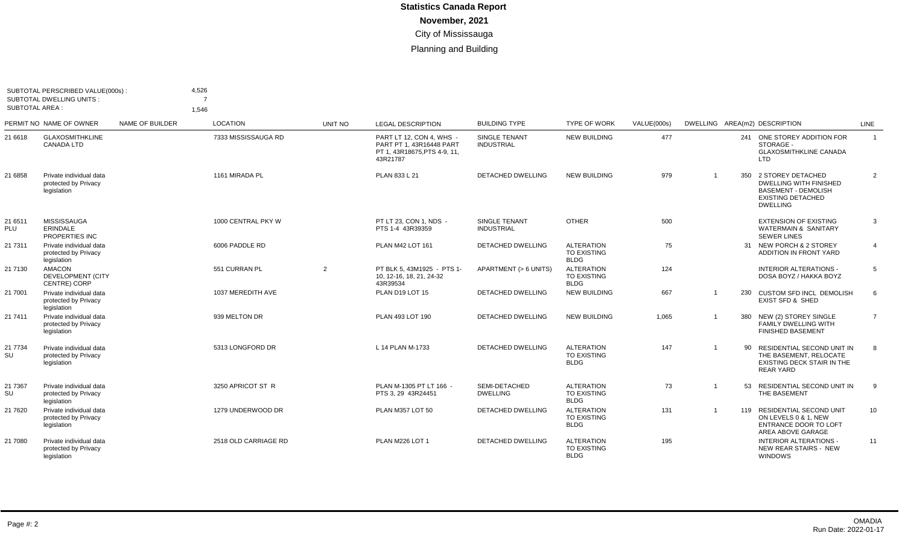| SUBTOTAL PERSCRIBED VALUE(000s):<br><b>SUBTOTAL DWELLING UNITS:</b><br><b>SUBTOTAL AREA:</b> |                                                                  |                 | 4,526<br>$\overline{7}$<br>1,546 |         |                                                                                                  |                                    |                                                        |             |                |     |                                                                                                                                 |                 |
|----------------------------------------------------------------------------------------------|------------------------------------------------------------------|-----------------|----------------------------------|---------|--------------------------------------------------------------------------------------------------|------------------------------------|--------------------------------------------------------|-------------|----------------|-----|---------------------------------------------------------------------------------------------------------------------------------|-----------------|
|                                                                                              | PERMIT NO NAME OF OWNER                                          | NAME OF BUILDER | <b>LOCATION</b>                  | UNIT NO | <b>LEGAL DESCRIPTION</b>                                                                         | <b>BUILDING TYPE</b>               | <b>TYPE OF WORK</b>                                    | VALUE(000s) |                |     | DWELLING AREA(m2) DESCRIPTION                                                                                                   | LINE            |
| 21 6618                                                                                      | <b>GLAXOSMITHKLINE</b><br><b>CANADA LTD</b>                      |                 | 7333 MISSISSAUGA RD              |         | PART LT 12, CON 4, WHS -<br>PART PT 1, 43R16448 PART<br>PT 1, 43R18675, PTS 4-9, 11,<br>43R21787 | SINGLE TENANT<br><b>INDUSTRIAL</b> | <b>NEW BUILDING</b>                                    | 477         |                |     | 241 ONE STOREY ADDITION FOR<br>STORAGE -<br><b>GLAXOSMITHKLINE CANADA</b><br>LTD                                                | $\overline{1}$  |
| 21 6858                                                                                      | Private individual data<br>protected by Privacy<br>legislation   |                 | 1161 MIRADA PL                   |         | PLAN 833 L 21                                                                                    | <b>DETACHED DWELLING</b>           | <b>NEW BUILDING</b>                                    | 979         | $\overline{1}$ | 350 | 2 STOREY DETACHED<br><b>DWELLING WITH FINISHED</b><br><b>BASEMENT - DEMOLISH</b><br><b>EXISTING DETACHED</b><br><b>DWELLING</b> | 2               |
| 21 6511<br>PLU                                                                               | <b>MISSISSAUGA</b><br>ERINDALE<br>PROPERTIES INC                 |                 | 1000 CENTRAL PKY W               |         | PT LT 23. CON 1. NDS -<br>PTS 1-4 43R39359                                                       | SINGLE TENANT<br><b>INDUSTRIAL</b> | <b>OTHER</b>                                           | 500         |                |     | <b>EXTENSION OF EXISTING</b><br><b>WATERMAIN &amp; SANITARY</b><br><b>SEWER LINES</b>                                           | 3               |
| 21 7311                                                                                      | Private individual data<br>protected by Privacy<br>legislation   |                 | 6006 PADDLE RD                   |         | PLAN M42 LOT 161                                                                                 | DETACHED DWELLING                  | <b>ALTERATION</b><br><b>TO EXISTING</b><br><b>BLDG</b> | 75          |                |     | 31 NEW PORCH & 2 STOREY<br>ADDITION IN FRONT YARD                                                                               | $\overline{4}$  |
| 21 7130                                                                                      | <b>AMACON</b><br><b>DEVELOPMENT (CITY</b><br><b>CENTRE) CORP</b> |                 | 551 CURRAN PL                    | 2       | PT BLK 5.43M1925 - PTS 1-<br>10. 12-16. 18. 21. 24-32<br>43R39534                                | APARTMENT (> 6 UNITS)              | <b>ALTERATION</b><br><b>TO EXISTING</b><br><b>BLDG</b> | 124         |                |     | INTERIOR ALTERATIONS -<br>DOSA BOYZ / HAKKA BOYZ                                                                                | 5               |
| 21 7001                                                                                      | Private individual data<br>protected by Privacy<br>legislation   |                 | 1037 MEREDITH AVE                |         | PLAN D19 LOT 15                                                                                  | <b>DETACHED DWELLING</b>           | <b>NEW BUILDING</b>                                    | 667         | $\overline{1}$ |     | 230 CUSTOM SFD INCL DEMOLISH<br><b>EXIST SFD &amp; SHED</b>                                                                     | 6               |
| 21 7411                                                                                      | Private individual data<br>protected by Privacy<br>legislation   |                 | 939 MELTON DR                    |         | PLAN 493 LOT 190                                                                                 | <b>DETACHED DWELLING</b>           | <b>NEW BUILDING</b>                                    | 1,065       |                |     | 380 NEW (2) STOREY SINGLE<br><b>FAMILY DWELLING WITH</b><br><b>FINISHED BASEMENT</b>                                            | $\overline{7}$  |
| 21 7734<br>SU                                                                                | Private individual data<br>protected by Privacy<br>legislation   |                 | 5313 LONGFORD DR                 |         | L 14 PLAN M-1733                                                                                 | <b>DETACHED DWELLING</b>           | <b>ALTERATION</b><br><b>TO EXISTING</b><br><b>BLDG</b> | 147         | $\overline{1}$ | 90  | RESIDENTIAL SECOND UNIT IN<br>THE BASEMENT, RELOCATE<br><b>EXISTING DECK STAIR IN THE</b><br><b>REAR YARD</b>                   | 8               |
| 21 7367<br>SU                                                                                | Private individual data<br>protected by Privacy<br>legislation   |                 | 3250 APRICOT ST R                |         | PLAN M-1305 PT LT 166 -<br>PTS 3, 29 43R24451                                                    | SEMI-DETACHED<br><b>DWELLING</b>   | <b>ALTERATION</b><br>TO EXISTING<br><b>BLDG</b>        | 73          | $\overline{1}$ | 53  | RESIDENTIAL SECOND UNIT IN<br>THE BASEMENT                                                                                      | 9               |
| 21 7620                                                                                      | Private individual data<br>protected by Privacy<br>legislation   |                 | 1279 UNDERWOOD DR                |         | PLAN M357 LOT 50                                                                                 | <b>DETACHED DWELLING</b>           | <b>ALTERATION</b><br><b>TO EXISTING</b><br><b>BLDG</b> | 131         |                |     | 119 RESIDENTIAL SECOND UNIT<br>ON LEVELS 0 & 1. NEW<br><b>ENTRANCE DOOR TO LOFT</b><br>AREA ABOVE GARAGE                        | 10 <sup>1</sup> |
| 21 7080                                                                                      | Private individual data<br>protected by Privacy<br>legislation   |                 | 2518 OLD CARRIAGE RD             |         | PLAN M226 LOT 1                                                                                  | <b>DETACHED DWELLING</b>           | <b>ALTERATION</b><br>TO EXISTING<br><b>BLDG</b>        | 195         |                |     | <b>INTERIOR ALTERATIONS -</b><br>NEW REAR STAIRS - NEW<br><b>WINDOWS</b>                                                        | 11              |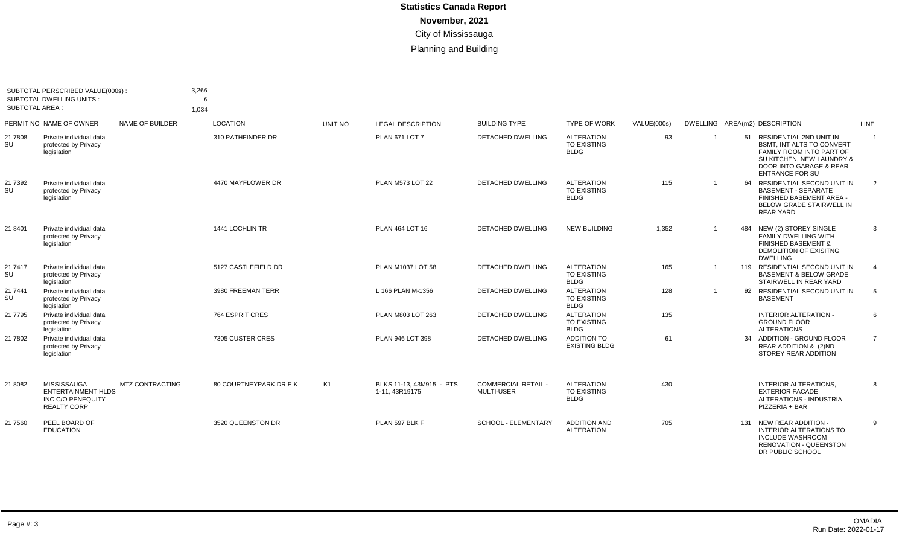| SUBTOTAL PERSCRIBED VALUE(000s):<br><b>SUBTOTAL DWELLING UNITS:</b><br><b>SUBTOTAL AREA:</b> |                                                                                     | 3,266<br>6<br>1.034 |                        |                |                                            |                                                 |                                                        |             |                         |     |                                                                                                                                                                                  |                |
|----------------------------------------------------------------------------------------------|-------------------------------------------------------------------------------------|---------------------|------------------------|----------------|--------------------------------------------|-------------------------------------------------|--------------------------------------------------------|-------------|-------------------------|-----|----------------------------------------------------------------------------------------------------------------------------------------------------------------------------------|----------------|
|                                                                                              | PERMIT NO NAME OF OWNER                                                             | NAME OF BUILDER     | LOCATION               | UNIT NO        | <b>LEGAL DESCRIPTION</b>                   | <b>BUILDING TYPE</b>                            | <b>TYPE OF WORK</b>                                    | VALUE(000s) |                         |     | DWELLING AREA(m2) DESCRIPTION                                                                                                                                                    | LINE           |
| 21 7808<br>SU                                                                                | Private individual data<br>protected by Privacy<br>legislation                      |                     | 310 PATHFINDER DR      |                | <b>PLAN 671 LOT 7</b>                      | DETACHED DWELLING                               | <b>ALTERATION</b><br>TO EXISTING<br><b>BLDG</b>        | 93          | -1                      |     | 51 RESIDENTIAL 2ND UNIT IN<br>BSMT, INT ALTS TO CONVERT<br>FAMILY ROOM INTO PART OF<br>SU KITCHEN, NEW LAUNDRY &<br><b>DOOR INTO GARAGE &amp; REAR</b><br><b>ENTRANCE FOR SU</b> | $\overline{1}$ |
| 21 7392<br><b>SU</b>                                                                         | Private individual data<br>protected by Privacy<br>legislation                      |                     | 4470 MAYFLOWER DR      |                | PLAN M573 LOT 22                           | <b>DETACHED DWELLING</b>                        | <b>ALTERATION</b><br><b>TO EXISTING</b><br><b>BLDG</b> | 115         | $\overline{1}$          |     | 64 RESIDENTIAL SECOND UNIT IN<br><b>BASEMENT - SEPARATE</b><br>FINISHED BASEMENT AREA -<br><b>BELOW GRADE STAIRWELL IN</b><br><b>REAR YARD</b>                                   | 2              |
| 21 8401                                                                                      | Private individual data<br>protected by Privacy<br>legislation                      |                     | 1441 LOCHLIN TR        |                | PLAN 464 LOT 16                            | <b>DETACHED DWELLING</b>                        | <b>NEW BUILDING</b>                                    | 1,352       | $\overline{\mathbf{1}}$ | 484 | NEW (2) STOREY SINGLE<br><b>FAMILY DWELLING WITH</b><br><b>FINISHED BASEMENT &amp;</b><br>DEMOLITION OF EXISITNG<br><b>DWELLING</b>                                              | 3              |
| 21 7417<br>SU                                                                                | Private individual data<br>protected by Privacy<br>legislation                      |                     | 5127 CASTLEFIELD DR    |                | PLAN M1037 LOT 58                          | DETACHED DWELLING                               | <b>ALTERATION</b><br><b>TO EXISTING</b><br><b>BLDG</b> | 165         | $\overline{\mathbf{1}}$ |     | 119 RESIDENTIAL SECOND UNIT IN<br><b>BASEMENT &amp; BELOW GRADE</b><br>STAIRWELL IN REAR YARD                                                                                    | $\overline{4}$ |
| 21 7441<br>SU                                                                                | Private individual data<br>protected by Privacy<br>legislation                      |                     | 3980 FREEMAN TERR      |                | L 166 PLAN M-1356                          | DETACHED DWELLING                               | <b>ALTERATION</b><br>TO EXISTING<br><b>BLDG</b>        | 128         | $\mathbf 1$             |     | 92 RESIDENTIAL SECOND UNIT IN<br><b>BASEMENT</b>                                                                                                                                 | 5              |
| 21 7795                                                                                      | Private individual data<br>protected by Privacy<br>legislation                      |                     | 764 ESPRIT CRES        |                | PLAN M803 LOT 263                          | <b>DETACHED DWELLING</b>                        | <b>ALTERATION</b><br>TO EXISTING<br><b>BLDG</b>        | 135         |                         |     | <b>INTERIOR ALTERATION -</b><br><b>GROUND FLOOR</b><br><b>ALTERATIONS</b>                                                                                                        | 6              |
| 21 7802                                                                                      | Private individual data<br>protected by Privacy<br>legislation                      |                     | 7305 CUSTER CRES       |                | PLAN 946 LOT 398                           | <b>DETACHED DWELLING</b>                        | <b>ADDITION TO</b><br><b>EXISTING BLDG</b>             | 61          |                         |     | 34 ADDITION - GROUND FLOOR<br>REAR ADDITION & (2)ND<br>STOREY REAR ADDITION                                                                                                      | $\overline{7}$ |
| 21 8082                                                                                      | MISSISSAUGA<br><b>ENTERTAINMENT HLDS</b><br>INC C/O PENEQUITY<br><b>REALTY CORP</b> | MTZ CONTRACTING     | 80 COURTNEYPARK DR E K | K <sub>1</sub> | BLKS 11-13, 43M915 - PTS<br>1-11, 43R19175 | <b>COMMERCIAL RETAIL -</b><br><b>MULTI-USER</b> | <b>ALTERATION</b><br>TO EXISTING<br><b>BLDG</b>        | 430         |                         |     | INTERIOR ALTERATIONS.<br><b>EXTERIOR FACADE</b><br>ALTERATIONS - INDUSTRIA<br>PIZZERIA + BAR                                                                                     | 8              |
| 21 7560                                                                                      | PEEL BOARD OF<br><b>EDUCATION</b>                                                   |                     | 3520 QUEENSTON DR      |                | PLAN 597 BLK F                             | SCHOOL - ELEMENTARY                             | <b>ADDITION AND</b><br><b>ALTERATION</b>               | 705         |                         |     | 131 NEW REAR ADDITION -<br><b>INTERIOR ALTERATIONS TO</b><br><b>INCLUDE WASHROOM</b><br><b>RENOVATION - QUEENSTON</b><br>DR PUBLIC SCHOOL                                        | 9              |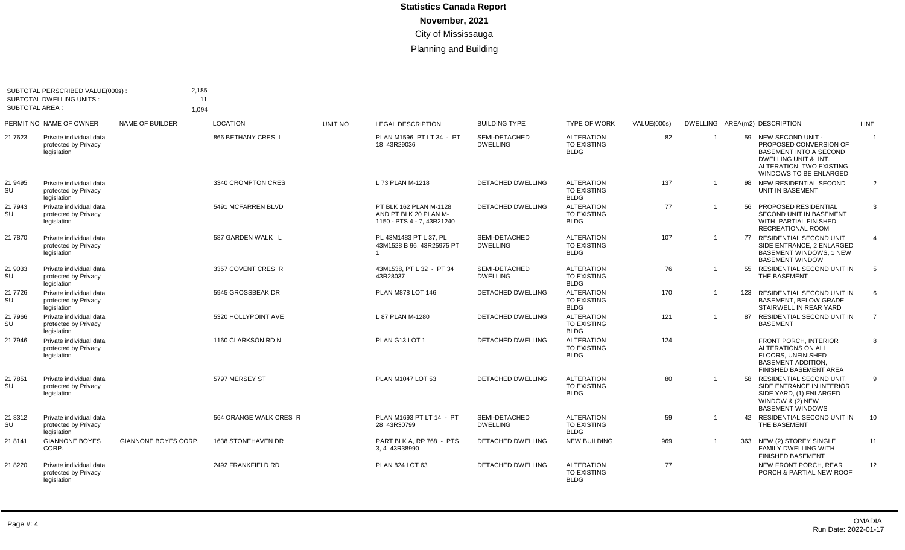| <b>SUBTOTAL AREA:</b> | SUBTOTAL PERSCRIBED VALUE(000s):<br><b>SUBTOTAL DWELLING UNITS:</b> | 2,185<br>1.094              | 11                     |         |                                                                               |                                  |                                                        |             |                |     |                                                                                                                                                                      |                |
|-----------------------|---------------------------------------------------------------------|-----------------------------|------------------------|---------|-------------------------------------------------------------------------------|----------------------------------|--------------------------------------------------------|-------------|----------------|-----|----------------------------------------------------------------------------------------------------------------------------------------------------------------------|----------------|
|                       | PERMIT NO NAME OF OWNER                                             | NAME OF BUILDER             | <b>LOCATION</b>        | UNIT NO | <b>LEGAL DESCRIPTION</b>                                                      | <b>BUILDING TYPE</b>             | <b>TYPE OF WORK</b>                                    | VALUE(000s) |                |     | DWELLING AREA(m2) DESCRIPTION                                                                                                                                        | LINE           |
| 21 7623               | Private individual data<br>protected by Privacy<br>legislation      |                             | 866 BETHANY CRES L     |         | PLAN M1596 PT LT 34 - PT<br>18 43R29036                                       | SEMI-DETACHED<br><b>DWELLING</b> | <b>ALTERATION</b><br><b>TO EXISTING</b><br><b>BLDG</b> | 82          | $\overline{1}$ |     | 59 NEW SECOND UNIT -<br>PROPOSED CONVERSION OF<br><b>BASEMENT INTO A SECOND</b><br>DWELLING UNIT & INT.<br>ALTERATION. TWO EXISTING<br><b>WINDOWS TO BE ENLARGED</b> | $\overline{1}$ |
| 21 9495<br>SU         | Private individual data<br>protected by Privacy<br>legislation      |                             | 3340 CROMPTON CRES     |         | L 73 PLAN M-1218                                                              | <b>DETACHED DWELLING</b>         | <b>ALTERATION</b><br><b>TO EXISTING</b><br><b>BLDG</b> | 137         | $\overline{1}$ | 98  | NEW RESIDENTIAL SECOND<br>UNIT IN BASEMENT                                                                                                                           | $\overline{2}$ |
| 21 7943<br>SU         | Private individual data<br>protected by Privacy<br>legislation      |                             | 5491 MCFARREN BLVD     |         | PT BLK 162 PLAN M-1128<br>AND PT BLK 20 PLAN M-<br>1150 - PTS 4 - 7, 43R21240 | DETACHED DWELLING                | <b>ALTERATION</b><br><b>TO EXISTING</b><br><b>BLDG</b> | 77          | $\mathbf{1}$   | 56  | PROPOSED RESIDENTIAL<br>SECOND UNIT IN BASEMENT<br>WITH PARTIAL FINISHED<br>RECREATIONAL ROOM                                                                        | 3              |
| 21 7870               | Private individual data<br>protected by Privacy<br>legislation      |                             | 587 GARDEN WALK L      |         | PL 43M1483 PT L 37, PL<br>43M1528 B 96, 43R25975 PT                           | SEMI-DETACHED<br><b>DWELLING</b> | <b>ALTERATION</b><br>TO EXISTING<br><b>BLDG</b>        | 107         |                |     | 77 RESIDENTIAL SECOND UNIT,<br>SIDE ENTRANCE, 2 ENLARGED<br>BASEMENT WINDOWS, 1 NEW<br><b>BASEMENT WINDOW</b>                                                        | $\overline{4}$ |
| 21 9033<br>SU         | Private individual data<br>protected by Privacy<br>legislation      |                             | 3357 COVENT CRES R     |         | 43M1538, PT L 32 - PT 34<br>43R28037                                          | SEMI-DETACHED<br><b>DWELLING</b> | <b>ALTERATION</b><br><b>TO EXISTING</b><br><b>BLDG</b> | 76          | $\overline{1}$ |     | 55 RESIDENTIAL SECOND UNIT IN<br>THE BASEMENT                                                                                                                        | 5              |
| 21 7726<br>SU         | Private individual data<br>protected by Privacy<br>legislation      |                             | 5945 GROSSBEAK DR      |         | PLAN M878 LOT 146                                                             | <b>DETACHED DWELLING</b>         | <b>ALTERATION</b><br><b>TO EXISTING</b><br><b>BLDG</b> | 170         | $\overline{1}$ | 123 | <b>RESIDENTIAL SECOND UNIT IN</b><br><b>BASEMENT, BELOW GRADE</b><br>STAIRWELL IN REAR YARD                                                                          | 6              |
| 21 7966<br>SU         | Private individual data<br>protected by Privacy<br>legislation      |                             | 5320 HOLLYPOINT AVE    |         | L 87 PLAN M-1280                                                              | DETACHED DWELLING                | <b>ALTERATION</b><br><b>TO EXISTING</b><br><b>BLDG</b> | 121         | $\overline{1}$ | 87  | RESIDENTIAL SECOND UNIT IN<br><b>BASEMENT</b>                                                                                                                        | $\overline{7}$ |
| 21 7946               | Private individual data<br>protected by Privacy<br>legislation      |                             | 1160 CLARKSON RD N     |         | PLAN G13 LOT 1                                                                | <b>DETACHED DWELLING</b>         | <b>ALTERATION</b><br>TO EXISTING<br><b>BLDG</b>        | 124         |                |     | FRONT PORCH, INTERIOR<br>ALTERATIONS ON ALL<br>FLOORS, UNFINISHED<br><b>BASEMENT ADDITION.</b><br>FINISHED BASEMENT AREA                                             | 8              |
| 21 7851<br>SU         | Private individual data<br>protected by Privacy<br>legislation      |                             | 5797 MERSEY ST         |         | PLAN M1047 LOT 53                                                             | <b>DETACHED DWELLING</b>         | <b>ALTERATION</b><br><b>TO EXISTING</b><br><b>BLDG</b> | 80          | $\overline{1}$ | 58  | RESIDENTIAL SECOND UNIT.<br>SIDE ENTRANCE IN INTERIOR<br>SIDE YARD, (1) ENLARGED<br>WINDOW & (2) NEW<br><b>BASEMENT WINDOWS</b>                                      | 9              |
| 21 8312<br>SU         | Private individual data<br>protected by Privacy<br>legislation      |                             | 564 ORANGE WALK CRES R |         | PLAN M1693 PT LT 14 - PT<br>28 43R30799                                       | SEMI-DETACHED<br><b>DWELLING</b> | <b>ALTERATION</b><br><b>TO EXISTING</b><br><b>BLDG</b> | 59          | $\overline{1}$ | 42  | RESIDENTIAL SECOND UNIT IN<br>THE BASEMENT                                                                                                                           | 10             |
| 21 8141               | <b>GIANNONE BOYES</b><br>CORP.                                      | <b>GIANNONE BOYES CORP.</b> | 1638 STONEHAVEN DR     |         | PART BLK A, RP 768 - PTS<br>3.4 43R38990                                      | <b>DETACHED DWELLING</b>         | <b>NEW BUILDING</b>                                    | 969         | $\overline{1}$ | 363 | NEW (2) STOREY SINGLE<br><b>FAMILY DWELLING WITH</b><br><b>FINISHED BASEMENT</b>                                                                                     | 11             |
| 21 8220               | Private individual data<br>protected by Privacy<br>legislation      |                             | 2492 FRANKFIELD RD     |         | PLAN 824 LOT 63                                                               | <b>DETACHED DWELLING</b>         | <b>ALTERATION</b><br>TO EXISTING<br><b>BLDG</b>        | 77          |                |     | NEW FRONT PORCH, REAR<br>PORCH & PARTIAL NEW ROOF                                                                                                                    | 12             |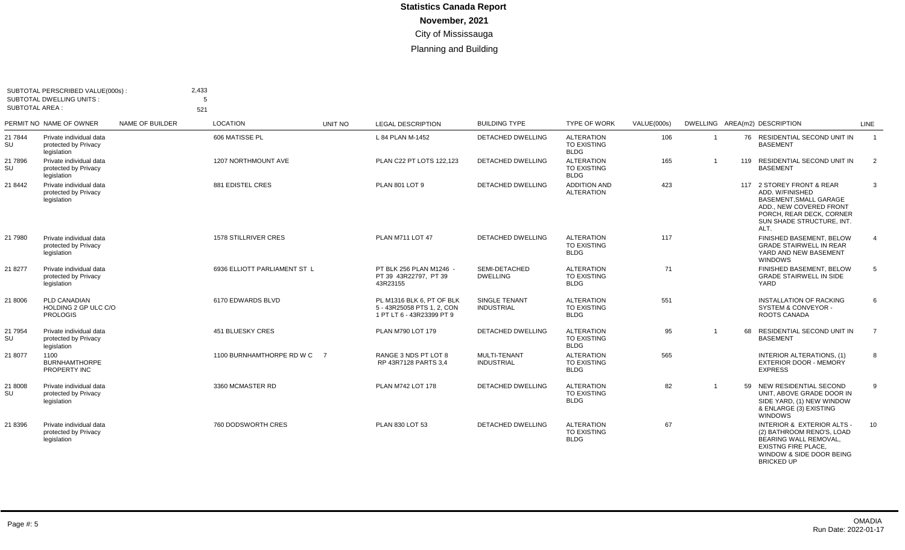| SUBTOTAL PERSCRIBED VALUE(000s):<br><b>SUBTOTAL DWELLING UNITS:</b><br>SUBTOTAL AREA : |                                                                | 2,433<br>.5<br>521 |                              |         |                                                                                      |                                          |                                                        |             |                |    |                                                                                                                                                                           |                |
|----------------------------------------------------------------------------------------|----------------------------------------------------------------|--------------------|------------------------------|---------|--------------------------------------------------------------------------------------|------------------------------------------|--------------------------------------------------------|-------------|----------------|----|---------------------------------------------------------------------------------------------------------------------------------------------------------------------------|----------------|
|                                                                                        | PERMIT NO NAME OF OWNER                                        | NAME OF BUILDER    | <b>LOCATION</b>              | UNIT NO | <b>LEGAL DESCRIPTION</b>                                                             | <b>BUILDING TYPE</b>                     | <b>TYPE OF WORK</b>                                    | VALUE(000s) |                |    | DWELLING AREA(m2) DESCRIPTION                                                                                                                                             | LINE           |
| 21 7844<br>SU                                                                          | Private individual data<br>protected by Privacy<br>legislation |                    | 606 MATISSE PL               |         | L 84 PLAN M-1452                                                                     | DETACHED DWELLING                        | <b>ALTERATION</b><br><b>TO EXISTING</b><br><b>BLDG</b> | 106         | $\overline{1}$ |    | 76 RESIDENTIAL SECOND UNIT IN<br><b>BASEMENT</b>                                                                                                                          | $\overline{1}$ |
| 21 7896<br>SU                                                                          | Private individual data<br>protected by Privacy<br>legislation |                    | 1207 NORTHMOUNT AVE          |         | PLAN C22 PT LOTS 122,123                                                             | <b>DETACHED DWELLING</b>                 | <b>ALTERATION</b><br><b>TO EXISTING</b><br><b>BLDG</b> | 165         | $\overline{1}$ |    | 119 RESIDENTIAL SECOND UNIT IN<br><b>BASEMENT</b>                                                                                                                         | $\overline{2}$ |
| 21 8442                                                                                | Private individual data<br>protected by Privacy<br>legislation |                    | 881 EDISTEL CRES             |         | PLAN 801 LOT 9                                                                       | <b>DETACHED DWELLING</b>                 | <b>ADDITION AND</b><br><b>ALTERATION</b>               | 423         |                |    | 117 2 STOREY FRONT & REAR<br>ADD. W/FINISHED<br><b>BASEMENT, SMALL GARAGE</b><br>ADD., NEW COVERED FRONT<br>PORCH, REAR DECK, CORNER<br>SUN SHADE STRUCTURE, INT.<br>ALT. | 3              |
| 21 7980                                                                                | Private individual data<br>protected by Privacy<br>legislation |                    | <b>1578 STILLRIVER CRES</b>  |         | <b>PLAN M711 LOT 47</b>                                                              | DETACHED DWELLING                        | <b>ALTERATION</b><br><b>TO EXISTING</b><br><b>BLDG</b> | 117         |                |    | FINISHED BASEMENT, BELOW<br><b>GRADE STAIRWELL IN REAR</b><br>YARD AND NEW BASEMENT<br><b>WINDOWS</b>                                                                     |                |
| 21 8277                                                                                | Private individual data<br>protected by Privacy<br>legislation |                    | 6936 ELLIOTT PARLIAMENT ST L |         | PT BLK 256 PLAN M1246 -<br>PT 39 43R22797, PT 39<br>43R23155                         | SEMI-DETACHED<br><b>DWELLING</b>         | <b>ALTERATION</b><br><b>TO EXISTING</b><br><b>BLDG</b> | 71          |                |    | FINISHED BASEMENT, BELOW<br><b>GRADE STAIRWELL IN SIDE</b><br>YARD                                                                                                        | 5              |
| 21 8006                                                                                | PLD CANADIAN<br>HOLDING 2 GP ULC C/O<br><b>PROLOGIS</b>        |                    | 6170 EDWARDS BLVD            |         | PL M1316 BLK 6, PT OF BLK<br>5 - 43R25058 PTS 1, 2, CON<br>1 PT LT 6 - 43R23399 PT 9 | SINGLE TENANT<br><b>INDUSTRIAL</b>       | <b>ALTERATION</b><br><b>TO EXISTING</b><br><b>BLDG</b> | 551         |                |    | <b>INSTALLATION OF RACKING</b><br>SYSTEM & CONVEYOR -<br>ROOTS CANADA                                                                                                     | 6              |
| 21 7954<br>SU                                                                          | Private individual data<br>protected by Privacy<br>legislation |                    | <b>451 BLUESKY CRES</b>      |         | PLAN M790 LOT 179                                                                    | <b>DETACHED DWELLING</b>                 | <b>ALTERATION</b><br><b>TO EXISTING</b><br><b>BLDG</b> | 95          | -1             | 68 | <b>RESIDENTIAL SECOND UNIT IN</b><br><b>BASEMENT</b>                                                                                                                      | $\overline{7}$ |
| 21 8077                                                                                | 1100<br><b>BURNHAMTHORPE</b><br>PROPERTY INC                   |                    | 1100 BURNHAMTHORPE RD W C 7  |         | RANGE 3 NDS PT LOT 8<br>RP 43R7128 PARTS 3,4                                         | <b>MULTI-TENANT</b><br><b>INDUSTRIAL</b> | <b>ALTERATION</b><br><b>TO EXISTING</b><br><b>BLDG</b> | 565         |                |    | INTERIOR ALTERATIONS, (1)<br><b>EXTERIOR DOOR - MEMORY</b><br><b>EXPRESS</b>                                                                                              | 8              |
| 21 8008<br>SU                                                                          | Private individual data<br>protected by Privacy<br>legislation |                    | 3360 MCMASTER RD             |         | <b>PLAN M742 LOT 178</b>                                                             | <b>DETACHED DWELLING</b>                 | <b>ALTERATION</b><br><b>TO EXISTING</b><br><b>BLDG</b> | 82          | $\overline{1}$ |    | 59 NEW RESIDENTIAL SECOND<br>UNIT. ABOVE GRADE DOOR IN<br>SIDE YARD, (1) NEW WINDOW<br>& ENLARGE (3) EXISTING<br><b>WINDOWS</b>                                           | 9              |
| 21 8396                                                                                | Private individual data<br>protected by Privacy<br>legislation |                    | 760 DODSWORTH CRES           |         | PLAN 830 LOT 53                                                                      | <b>DETACHED DWELLING</b>                 | <b>ALTERATION</b><br><b>TO EXISTING</b><br><b>BLDG</b> | 67          |                |    | INTERIOR & EXTERIOR ALTS -<br>(2) BATHROOM RENO'S, LOAD<br>BEARING WALL REMOVAL,<br><b>EXISTNG FIRE PLACE,</b><br>WINDOW & SIDE DOOR BEING<br><b>BRICKED UP</b>           | 10             |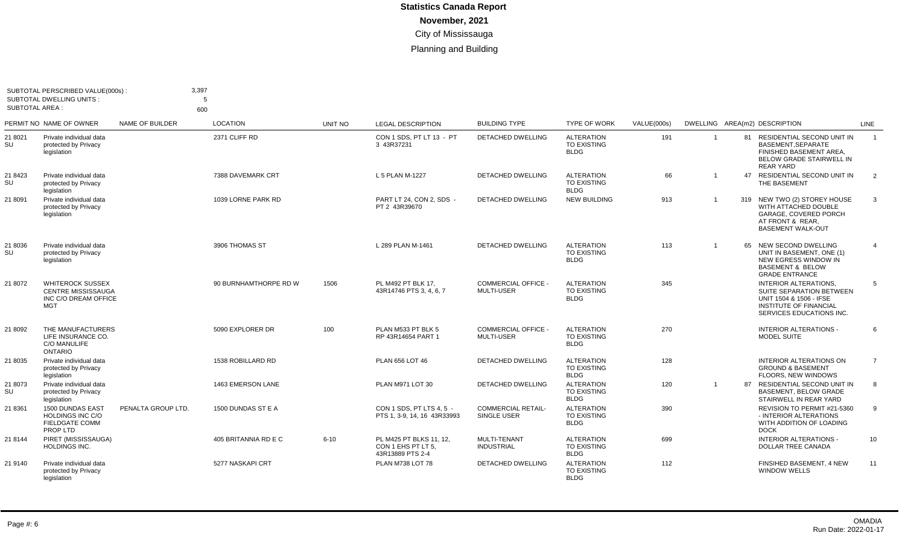| SUBTOTAL PERSCRIBED VALUE(000s)<br><b>SUBTOTAL DWELLING UNITS:</b><br><b>SUBTOTAL AREA:</b> |                                                                                            | 3,397<br>5<br>600  |                       |          |                                                                   |                                                 |                                                        |             |                |    |                                                                                                                                                  |                |
|---------------------------------------------------------------------------------------------|--------------------------------------------------------------------------------------------|--------------------|-----------------------|----------|-------------------------------------------------------------------|-------------------------------------------------|--------------------------------------------------------|-------------|----------------|----|--------------------------------------------------------------------------------------------------------------------------------------------------|----------------|
|                                                                                             | PERMIT NO NAME OF OWNER                                                                    | NAME OF BUILDER    | <b>LOCATION</b>       | UNIT NO  | <b>LEGAL DESCRIPTION</b>                                          | <b>BUILDING TYPE</b>                            | <b>TYPE OF WORK</b>                                    | VALUE(000s) |                |    | DWELLING AREA(m2) DESCRIPTION                                                                                                                    | LINE           |
| 21 8021<br>SU                                                                               | Private individual data<br>protected by Privacy<br>legislation                             |                    | 2371 CLIFF RD         |          | CON 1 SDS. PT LT 13 - PT<br>3 43R37231                            | <b>DETACHED DWELLING</b>                        | <b>ALTERATION</b><br><b>TO EXISTING</b><br><b>BLDG</b> | 191         | $\overline{1}$ |    | 81 RESIDENTIAL SECOND UNIT IN<br>BASEMENT.SEPARATE<br>FINISHED BASEMENT AREA.<br><b>BELOW GRADE STAIRWELL IN</b><br><b>REAR YARD</b>             | $\overline{1}$ |
| 21 8423<br>SU                                                                               | Private individual data<br>protected by Privacy<br>legislation                             |                    | 7388 DAVEMARK CRT     |          | L 5 PLAN M-1227                                                   | DETACHED DWELLING                               | <b>ALTERATION</b><br>TO EXISTING<br><b>BLDG</b>        | 66          | $\overline{1}$ | 47 | RESIDENTIAL SECOND UNIT IN<br>THE BASEMENT                                                                                                       | 2              |
| 21 8091                                                                                     | Private individual data<br>protected by Privacy<br>legislation                             |                    | 1039 LORNE PARK RD    |          | PART LT 24, CON 2, SDS -<br>PT 2 43R39670                         | <b>DETACHED DWELLING</b>                        | <b>NEW BUILDING</b>                                    | 913         | $\mathbf{1}$   |    | 319 NEW TWO (2) STOREY HOUSE<br>WITH ATTACHED DOUBLE<br>GARAGE, COVERED PORCH<br>AT FRONT & REAR.<br><b>BASEMENT WALK-OUT</b>                    | 3              |
| 21 8036<br>SU                                                                               | Private individual data<br>protected by Privacy<br>legislation                             |                    | 3906 THOMAS ST        |          | L 289 PLAN M-1461                                                 | <b>DETACHED DWELLING</b>                        | <b>ALTERATION</b><br><b>TO EXISTING</b><br><b>BLDG</b> | 113         | $\overline{1}$ |    | 65 NEW SECOND DWELLING<br>UNIT IN BASEMENT, ONE (1)<br>NEW EGRESS WINDOW IN<br><b>BASEMENT &amp; BELOW</b><br><b>GRADE ENTRANCE</b>              | $\overline{4}$ |
| 21 8072                                                                                     | <b>WHITEROCK SUSSEX</b><br><b>CENTRE MISSISSAUGA</b><br>INC C/O DREAM OFFICE<br><b>MGT</b> |                    | 90 BURNHAMTHORPE RD W | 1506     | PL M492 PT BLK 17.<br>43R14746 PTS 3, 4, 6, 7                     | <b>COMMERCIAL OFFICE</b><br><b>MULTI-USER</b>   | <b>ALTERATION</b><br><b>TO EXISTING</b><br><b>BLDG</b> | 345         |                |    | <b>INTERIOR ALTERATIONS.</b><br>SUITE SEPARATION BETWEEN<br>UNIT 1504 & 1506 - IFSE<br><b>INSTITUTE OF FINANCIAL</b><br>SERVICES EDUCATIONS INC. | 5              |
| 21 8092                                                                                     | THE MANUFACTURERS<br>LIFE INSURANCE CO.<br><b>C/O MANULIFE</b><br><b>ONTARIO</b>           |                    | 5090 EXPLORER DR      | 100      | PLAN M533 PT BLK 5<br>RP 43R14654 PART 1                          | <b>COMMERCIAL OFFICE -</b><br><b>MULTI-USER</b> | <b>ALTERATION</b><br><b>TO EXISTING</b><br><b>BLDG</b> | 270         |                |    | <b>INTERIOR ALTERATIONS -</b><br><b>MODEL SUITE</b>                                                                                              | 6              |
| 21 8035                                                                                     | Private individual data<br>protected by Privacy<br>legislation                             |                    | 1538 ROBILLARD RD     |          | PLAN 656 LOT 46                                                   | <b>DETACHED DWELLING</b>                        | <b>ALTERATION</b><br><b>TO EXISTING</b><br><b>BLDG</b> | 128         |                |    | INTERIOR ALTERATIONS ON<br><b>GROUND &amp; BASEMENT</b><br>FLOORS, NEW WINDOWS                                                                   | $\overline{7}$ |
| 21 8073<br>SU                                                                               | Private individual data<br>protected by Privacy<br>legislation                             |                    | 1463 EMERSON LANE     |          | PLAN M971 LOT 30                                                  | <b>DETACHED DWELLING</b>                        | <b>ALTERATION</b><br>TO EXISTING<br><b>BLDG</b>        | 120         | $\mathbf{1}$   | 87 | RESIDENTIAL SECOND UNIT IN<br>BASEMENT, BELOW GRADE<br>STAIRWELL IN REAR YARD                                                                    | 8              |
| 21 8361                                                                                     | <b>1500 DUNDAS EAST</b><br>HOLDINGS INC C/O<br><b>FIELDGATE COMM</b><br>PROP LTD           | PENALTA GROUP LTD. | 1500 DUNDAS ST E A    |          | CON 1 SDS. PT LTS 4.5 -<br>PTS 1, 3-9, 14, 16 43R33993            | <b>COMMERCIAL RETAIL-</b><br>SINGLE USER        | <b>ALTERATION</b><br><b>TO EXISTING</b><br><b>BLDG</b> | 390         |                |    | REVISION TO PERMIT #21-5360<br>- INTERIOR ALTERATIONS<br>WITH ADDITION OF LOADING<br><b>DOCK</b>                                                 | $\mathbf{q}$   |
| 21 8144                                                                                     | PIRET (MISSISSAUGA)<br><b>HOLDINGS INC.</b>                                                |                    | 405 BRITANNIA RD E C  | $6 - 10$ | PL M425 PT BLKS 11, 12.<br>CON 1 EHS PT LT 5.<br>43R13889 PTS 2-4 | MULTI-TENANT<br><b>INDUSTRIAL</b>               | <b>ALTERATION</b><br><b>TO EXISTING</b><br><b>BLDG</b> | 699         |                |    | <b>INTERIOR ALTERATIONS -</b><br>DOLLAR TREE CANADA                                                                                              | 10             |
| 21 9140                                                                                     | Private individual data<br>protected by Privacy<br>legislation                             |                    | 5277 NASKAPI CRT      |          | PLAN M738 LOT 78                                                  | <b>DETACHED DWELLING</b>                        | <b>ALTERATION</b><br><b>TO EXISTING</b><br><b>BLDG</b> | 112         |                |    | FINSIHED BASEMENT, 4 NEW<br><b>WINDOW WELLS</b>                                                                                                  | 11             |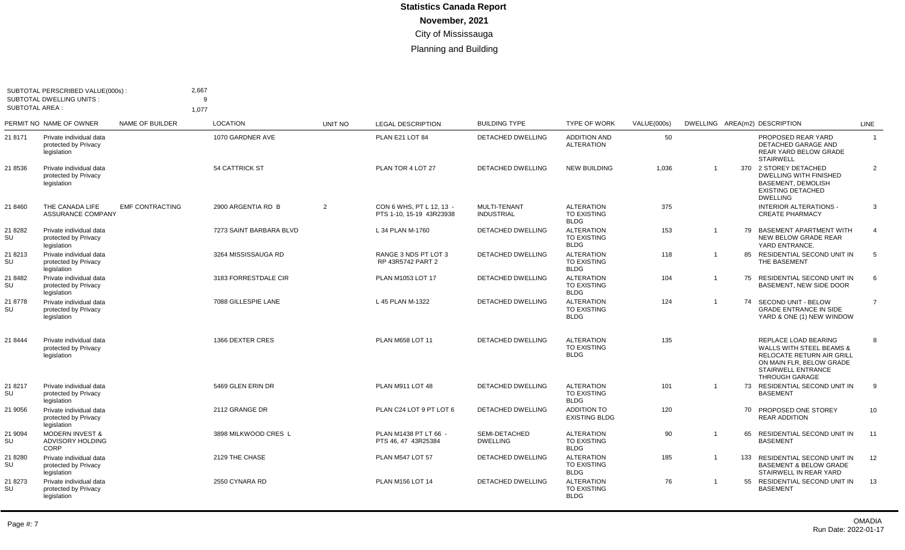| SUBTOTAL PERSCRIBED VALUE(000s):<br><b>SUBTOTAL DWELLING UNITS:</b><br><b>SUBTOTAL AREA:</b> |                                                                | 2,667<br>q<br>1,077    |                         |                |                                                      |                                   |                                                        |             |                |     |                                                                                                                                                                            |                |
|----------------------------------------------------------------------------------------------|----------------------------------------------------------------|------------------------|-------------------------|----------------|------------------------------------------------------|-----------------------------------|--------------------------------------------------------|-------------|----------------|-----|----------------------------------------------------------------------------------------------------------------------------------------------------------------------------|----------------|
|                                                                                              | PERMIT NO NAME OF OWNER                                        | NAME OF BUILDER        | <b>LOCATION</b>         | <b>UNIT NO</b> | <b>LEGAL DESCRIPTION</b>                             | <b>BUILDING TYPE</b>              | <b>TYPE OF WORK</b>                                    | VALUE(000s) |                |     | DWELLING AREA(m2) DESCRIPTION                                                                                                                                              | <b>LINE</b>    |
| 21 8171                                                                                      | Private individual data<br>protected by Privacy<br>legislation |                        | 1070 GARDNER AVE        |                | PLAN E21 LOT 84                                      | <b>DETACHED DWELLING</b>          | <b>ADDITION AND</b><br><b>ALTERATION</b>               | 50          |                |     | PROPOSED REAR YARD<br>DETACHED GARAGE AND<br>REAR YARD BELOW GRADE<br><b>STAIRWELL</b>                                                                                     | $\overline{1}$ |
| 21 8536                                                                                      | Private individual data<br>protected by Privacy<br>legislation |                        | <b>54 CATTRICK ST</b>   |                | PLAN TOR 4 LOT 27                                    | <b>DETACHED DWELLING</b>          | <b>NEW BUILDING</b>                                    | 1,036       | $\overline{1}$ | 370 | 2 STOREY DETACHED<br><b>DWELLING WITH FINISHED</b><br><b>BASEMENT, DEMOLISH</b><br><b>EXISTING DETACHED</b><br><b>DWELLING</b>                                             | $\overline{2}$ |
| 21 8460                                                                                      | THE CANADA LIFE<br><b>ASSURANCE COMPANY</b>                    | <b>EMF CONTRACTING</b> | 2900 ARGENTIA RD B      | 2              | CON 6 WHS. PT L 12. 13 -<br>PTS 1-10, 15-19 43R23938 | MULTI-TENANT<br><b>INDUSTRIAL</b> | <b>ALTERATION</b><br><b>TO EXISTING</b><br><b>BLDG</b> | 375         |                |     | <b>INTERIOR ALTERATIONS -</b><br><b>CREATE PHARMACY</b>                                                                                                                    | 3              |
| 21 8282<br>SU                                                                                | Private individual data<br>protected by Privacy<br>legislation |                        | 7273 SAINT BARBARA BLVD |                | L 34 PLAN M-1760                                     | DETACHED DWELLING                 | <b>ALTERATION</b><br>TO EXISTING<br><b>BLDG</b>        | 153         | $\overline{1}$ | 79  | <b>BASEMENT APARTMENT WITH</b><br>NEW BELOW GRADE REAR<br>YARD ENTRANCE.                                                                                                   | $\overline{4}$ |
| 21 8213<br>SU                                                                                | Private individual data<br>protected by Privacy<br>legislation |                        | 3264 MISSISSAUGA RD     |                | RANGE 3 NDS PT LOT 3<br>RP 43R5742 PART 2            | <b>DETACHED DWELLING</b>          | <b>ALTERATION</b><br>TO EXISTING<br><b>BLDG</b>        | 118         | $\overline{1}$ | 85  | RESIDENTIAL SECOND UNIT IN<br>THE BASEMENT                                                                                                                                 | 5              |
| 21 8482<br>SU                                                                                | Private individual data<br>protected by Privacv<br>legislation |                        | 3183 FORRESTDALE CIR    |                | PLAN M1053 LOT 17                                    | <b>DETACHED DWELLING</b>          | <b>ALTERATION</b><br><b>TO EXISTING</b><br><b>BLDG</b> | 104         | $\overline{1}$ | 75  | <b>RESIDENTIAL SECOND UNIT IN</b><br>BASEMENT. NEW SIDE DOOR                                                                                                               | 6              |
| 21 8778<br>SU                                                                                | Private individual data<br>protected by Privacy<br>legislation |                        | 7088 GILLESPIE LANE     |                | L 45 PLAN M-1322                                     | <b>DETACHED DWELLING</b>          | <b>ALTERATION</b><br>TO EXISTING<br><b>BLDG</b>        | 124         | $\overline{1}$ | 74  | SECOND UNIT - BELOW<br><b>GRADE ENTRANCE IN SIDE</b><br>YARD & ONE (1) NEW WINDOW                                                                                          | $\overline{7}$ |
| 21 8444                                                                                      | Private individual data<br>protected by Privacy<br>legislation |                        | 1366 DEXTER CRES        |                | PLAN M658 LOT 11                                     | <b>DETACHED DWELLING</b>          | <b>ALTERATION</b><br><b>TO EXISTING</b><br><b>BLDG</b> | 135         |                |     | REPLACE LOAD BEARING<br><b>WALLS WITH STEEL BEAMS &amp;</b><br><b>RELOCATE RETURN AIR GRILL</b><br>ON MAIN FLR. BELOW GRADE<br>STAIRWELL ENTRANCE<br><b>THROUGH GARAGE</b> | 8              |
| 21 8217<br>SU                                                                                | Private individual data<br>protected by Privacy<br>legislation |                        | 5469 GLEN ERIN DR       |                | PLAN M911 LOT 48                                     | DETACHED DWELLING                 | <b>ALTERATION</b><br><b>TO EXISTING</b><br><b>BLDG</b> | 101         | $\overline{1}$ |     | 73 RESIDENTIAL SECOND UNIT IN<br><b>BASEMENT</b>                                                                                                                           | 9              |
| 21 9056                                                                                      | Private individual data<br>protected by Privacy<br>legislation |                        | 2112 GRANGE DR          |                | PLAN C24 LOT 9 PT LOT 6                              | <b>DETACHED DWELLING</b>          | <b>ADDITION TO</b><br><b>EXISTING BLDG</b>             | 120         |                |     | 70 PROPOSED ONE STOREY<br><b>REAR ADDITION</b>                                                                                                                             | 10             |
| 21 9094<br>SU                                                                                | <b>MODERN INVEST &amp;</b><br><b>ADVISORY HOLDING</b><br>CORP  |                        | 3898 MILKWOOD CRES L    |                | PLAN M1438 PT LT 66 -<br>PTS 46, 47 43R25384         | SEMI-DETACHED<br><b>DWELLING</b>  | <b>ALTERATION</b><br>TO EXISTING<br><b>BLDG</b>        | 90          | $\overline{1}$ | 65  | <b>RESIDENTIAL SECOND UNIT IN</b><br><b>BASEMENT</b>                                                                                                                       | 11             |
| 21 8280<br>SU                                                                                | Private individual data<br>protected by Privacy<br>legislation |                        | 2129 THE CHASE          |                | PLAN M547 LOT 57                                     | <b>DETACHED DWELLING</b>          | <b>ALTERATION</b><br>TO EXISTING<br><b>BLDG</b>        | 185         | $\overline{1}$ | 133 | RESIDENTIAL SECOND UNIT IN<br><b>BASEMENT &amp; BELOW GRADE</b><br>STAIRWELL IN REAR YARD                                                                                  | 12             |
| 21 8273<br>SU                                                                                | Private individual data<br>protected by Privacy<br>legislation |                        | 2550 CYNARA RD          |                | PLAN M156 LOT 14                                     | <b>DETACHED DWELLING</b>          | <b>ALTERATION</b><br><b>TO EXISTING</b><br><b>BLDG</b> | 76          | $\overline{1}$ | 55  | RESIDENTIAL SECOND UNIT IN<br><b>BASEMENT</b>                                                                                                                              | 13             |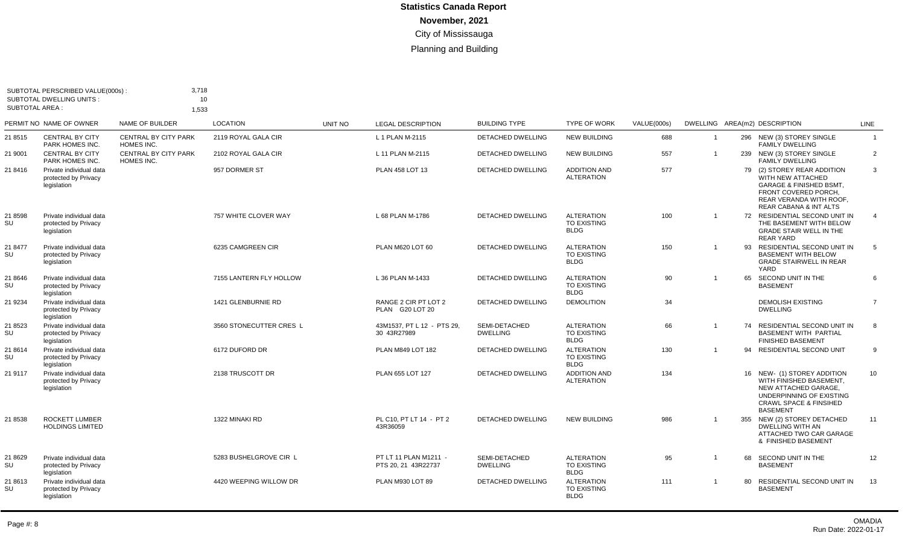| <b>SUBTOTAL AREA:</b> | SUBTOTAL PERSCRIBED VALUE(000s):<br><b>SUBTOTAL DWELLING UNITS:</b> | 3,718<br>10<br>1,533                      |                         |         |                                              |                                  |                                                        |             |                         |     |                                                                                                                                                                     |                 |
|-----------------------|---------------------------------------------------------------------|-------------------------------------------|-------------------------|---------|----------------------------------------------|----------------------------------|--------------------------------------------------------|-------------|-------------------------|-----|---------------------------------------------------------------------------------------------------------------------------------------------------------------------|-----------------|
|                       | PERMIT NO NAME OF OWNER                                             | NAME OF BUILDER                           | <b>LOCATION</b>         | UNIT NO | <b>LEGAL DESCRIPTION</b>                     | <b>BUILDING TYPE</b>             | <b>TYPE OF WORK</b>                                    | VALUE(000s) |                         |     | DWELLING AREA(m2) DESCRIPTION                                                                                                                                       | LINE            |
| 21 8515               | <b>CENTRAL BY CITY</b><br>PARK HOMES INC.                           | CENTRAL BY CITY PARK<br>HOMES INC.        | 2119 ROYAL GALA CIR     |         | L 1 PLAN M-2115                              | DETACHED DWELLING                | <b>NEW BUILDING</b>                                    | 688         | $\overline{\mathbf{1}}$ |     | 296 NEW (3) STOREY SINGLE<br><b>FAMILY DWELLING</b>                                                                                                                 | $\mathbf{1}$    |
| 21 9001               | <b>CENTRAL BY CITY</b><br>PARK HOMES INC.                           | <b>CENTRAL BY CITY PARK</b><br>HOMES INC. | 2102 ROYAL GALA CIR     |         | L 11 PLAN M-2115                             | <b>DETACHED DWELLING</b>         | <b>NEW BUILDING</b>                                    | 557         | $\overline{1}$          |     | 239 NEW (3) STOREY SINGLE<br><b>FAMILY DWELLING</b>                                                                                                                 | 2               |
| 21 8416               | Private individual data<br>protected by Privacy<br>legislation      |                                           | 957 DORMER ST           |         | PLAN 458 LOT 13                              | <b>DETACHED DWELLING</b>         | <b>ADDITION AND</b><br><b>ALTERATION</b>               | 577         |                         |     | 79 (2) STOREY REAR ADDITION<br>WITH NEW ATTACHED<br><b>GARAGE &amp; FINISHED BSMT,</b><br>FRONT COVERED PORCH.<br>REAR VERANDA WITH ROOF.<br>REAR CABANA & INT ALTS | 3               |
| 21 8598<br>SU         | Private individual data<br>protected by Privacy<br>legislation      |                                           | 757 WHITE CLOVER WAY    |         | L 68 PLAN M-1786                             | DETACHED DWELLING                | <b>ALTERATION</b><br><b>TO EXISTING</b><br><b>BLDG</b> | 100         | $\mathbf 1$             |     | 72 RESIDENTIAL SECOND UNIT IN<br>THE BASEMENT WITH BELOW<br><b>GRADE STAIR WELL IN THE</b><br>REAR YARD                                                             | $\overline{4}$  |
| 21 8477<br>SU         | Private individual data<br>protected by Privacy<br>legislation      |                                           | 6235 CAMGREEN CIR       |         | PLAN M620 LOT 60                             | <b>DETACHED DWELLING</b>         | <b>ALTERATION</b><br><b>TO EXISTING</b><br><b>BLDG</b> | 150         |                         |     | 93 RESIDENTIAL SECOND UNIT IN<br><b>BASEMENT WITH BELOW</b><br><b>GRADE STAIRWELL IN REAR</b><br>YARD                                                               | 5               |
| 21 8646<br>SU         | Private individual data<br>protected by Privacy<br>legislation      |                                           | 7155 LANTERN FLY HOLLOW |         | L 36 PLAN M-1433                             | DETACHED DWELLING                | <b>ALTERATION</b><br><b>TO EXISTING</b><br><b>BLDG</b> | 90          | $\overline{1}$          | 65  | SECOND UNIT IN THE<br><b>BASEMENT</b>                                                                                                                               | 6               |
| 21 9234               | Private individual data<br>protected by Privacy<br>legislation      |                                           | 1421 GLENBURNIE RD      |         | RANGE 2 CIR PT LOT 2<br>PLAN G20 LOT 20      | <b>DETACHED DWELLING</b>         | <b>DEMOLITION</b>                                      | 34          |                         |     | <b>DEMOLISH EXISTING</b><br><b>DWELLING</b>                                                                                                                         | $\overline{7}$  |
| 21 8523<br>SU         | Private individual data<br>protected by Privacy<br>legislation      |                                           | 3560 STONECUTTER CRES L |         | 43M1537. PT L 12 - PTS 29.<br>30 43R27989    | SEMI-DETACHED<br><b>DWELLING</b> | <b>ALTERATION</b><br><b>TO EXISTING</b><br><b>BLDG</b> | 66          | $\mathbf 1$             |     | 74 RESIDENTIAL SECOND UNIT IN<br><b>BASEMENT WITH PARTIAL</b><br><b>FINISHED BASEMENT</b>                                                                           | 8               |
| 21 8614<br>SU         | Private individual data<br>protected by Privacy<br>legislation      |                                           | 6172 DUFORD DR          |         | PLAN M849 LOT 182                            | <b>DETACHED DWELLING</b>         | <b>ALTERATION</b><br><b>TO EXISTING</b><br><b>BLDG</b> | 130         | $\mathbf{1}$            |     | 94 RESIDENTIAL SECOND UNIT                                                                                                                                          | 9               |
| 21 9117               | Private individual data<br>protected by Privacy<br>legislation      |                                           | 2138 TRUSCOTT DR        |         | PLAN 655 LOT 127                             | <b>DETACHED DWELLING</b>         | <b>ADDITION AND</b><br><b>ALTERATION</b>               | 134         |                         |     | 16 NEW- (1) STOREY ADDITION<br>WITH FINISHED BASEMENT.<br>NEW ATTACHED GARAGE.<br>UNDERPINNING OF EXISTING<br><b>CRAWL SPACE &amp; FINSIHED</b><br><b>BASEMENT</b>  | 10 <sup>°</sup> |
| 21 8538               | <b>ROCKETT LUMBER</b><br><b>HOLDINGS LIMITED</b>                    |                                           | 1322 MINAKI RD          |         | PL C10. PT LT 14 - PT 2<br>43R36059          | <b>DETACHED DWELLING</b>         | <b>NEW BUILDING</b>                                    | 986         | $\overline{1}$          | 355 | NEW (2) STOREY DETACHED<br><b>DWELLING WITH AN</b><br>ATTACHED TWO CAR GARAGE<br>& FINISHED BASEMENT                                                                | 11              |
| 21 8629<br>SU         | Private individual data<br>protected by Privacy<br>legislation      |                                           | 5283 BUSHELGROVE CIR L  |         | PT LT 11 PLAN M1211 -<br>PTS 20, 21 43R22737 | SEMI-DETACHED<br><b>DWELLING</b> | <b>ALTERATION</b><br>TO EXISTING<br><b>BLDG</b>        | 95          | $\mathbf 1$             | 68  | SECOND UNIT IN THE<br><b>BASEMENT</b>                                                                                                                               | 12              |
| 21 8613<br>SU         | Private individual data<br>protected by Privacy<br>legislation      |                                           | 4420 WEEPING WILLOW DR  |         | PLAN M930 LOT 89                             | DETACHED DWELLING                | <b>ALTERATION</b><br><b>TO EXISTING</b><br><b>BLDG</b> | 111         | $\overline{1}$          | 80  | RESIDENTIAL SECOND UNIT IN<br><b>BASEMENT</b>                                                                                                                       | 13              |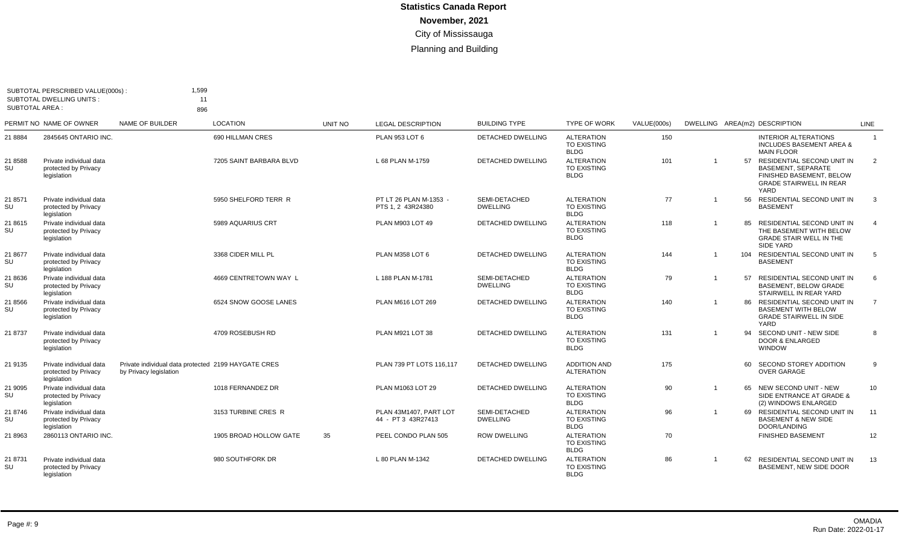| <b>SUBTOTAL AREA:</b> | SUBTOTAL PERSCRIBED VALUE(000s) :<br><b>SUBTOTAL DWELLING UNITS:</b> | 1.599<br>11<br>896                                                            |                         |                |                                              |                                  |                                                        |             |                |    |                                                                                                                               |                |
|-----------------------|----------------------------------------------------------------------|-------------------------------------------------------------------------------|-------------------------|----------------|----------------------------------------------|----------------------------------|--------------------------------------------------------|-------------|----------------|----|-------------------------------------------------------------------------------------------------------------------------------|----------------|
|                       | PERMIT NO NAME OF OWNER                                              | <b>NAME OF BUILDER</b>                                                        | <b>LOCATION</b>         | <b>UNIT NO</b> | <b>LEGAL DESCRIPTION</b>                     | <b>BUILDING TYPE</b>             | <b>TYPE OF WORK</b>                                    | VALUE(000s) |                |    | DWELLING AREA(m2) DESCRIPTION                                                                                                 | <b>LINE</b>    |
| 21 8884               | 2845645 ONTARIO INC.                                                 |                                                                               | 690 HILLMAN CRES        |                | PLAN 953 LOT 6                               | <b>DETACHED DWELLING</b>         | <b>ALTERATION</b><br><b>TO EXISTING</b><br><b>BLDG</b> | 150         |                |    | <b>INTERIOR ALTERATIONS</b><br><b>INCLUDES BASEMENT AREA &amp;</b><br><b>MAIN FLOOR</b>                                       | $\overline{1}$ |
| 21 8588<br>SU         | Private individual data<br>protected by Privacv<br>legislation       |                                                                               | 7205 SAINT BARBARA BLVD |                | L 68 PLAN M-1759                             | <b>DETACHED DWELLING</b>         | <b>ALTERATION</b><br><b>TO EXISTING</b><br><b>BLDG</b> | 101         | $\mathbf 1$    | 57 | RESIDENTIAL SECOND UNIT IN<br><b>BASEMENT, SEPARATE</b><br>FINISHED BASEMENT, BELOW<br><b>GRADE STAIRWELL IN REAR</b><br>YARD | $\overline{2}$ |
| 21 8571<br><b>SU</b>  | Private individual data<br>protected by Privacy<br>legislation       |                                                                               | 5950 SHELFORD TERR R    |                | PT LT 26 PLAN M-1353 -<br>PTS 1.2 43R24380   | SEMI-DETACHED<br><b>DWELLING</b> | <b>ALTERATION</b><br>TO EXISTING<br><b>BLDG</b>        | 77          |                |    | 56 RESIDENTIAL SECOND UNIT IN<br><b>BASEMENT</b>                                                                              | $\mathbf{3}$   |
| 21 8615<br>SU         | Private individual data<br>protected by Privacy<br>legislation       |                                                                               | 5989 AQUARIUS CRT       |                | <b>PLAN M903 LOT 49</b>                      | <b>DETACHED DWELLING</b>         | <b>ALTERATION</b><br><b>TO EXISTING</b><br><b>BLDG</b> | 118         | $\overline{1}$ | 85 | RESIDENTIAL SECOND UNIT IN<br>THE BASEMENT WITH BELOW<br><b>GRADE STAIR WELL IN THE</b><br>SIDE YARD                          | $\overline{4}$ |
| 21 8677<br>SU         | Private individual data<br>protected by Privacy<br>legislation       |                                                                               | 3368 CIDER MILL PL      |                | PLAN M358 LOT 6                              | <b>DETACHED DWELLING</b>         | <b>ALTERATION</b><br>TO EXISTING<br><b>BLDG</b>        | 144         |                |    | 104 RESIDENTIAL SECOND UNIT IN<br><b>BASEMENT</b>                                                                             | 5              |
| 21 8636<br>SU         | Private individual data<br>protected by Privacy<br>legislation       |                                                                               | 4669 CENTRETOWN WAY L   |                | L 188 PLAN M-1781                            | SEMI-DETACHED<br><b>DWELLING</b> | <b>ALTERATION</b><br><b>TO EXISTING</b><br><b>BLDG</b> | 79          |                | 57 | RESIDENTIAL SECOND UNIT IN<br><b>BASEMENT, BELOW GRADE</b><br>STAIRWELL IN REAR YARD                                          | 6              |
| 21 8566<br>SU         | Private individual data<br>protected by Privacy<br>legislation       |                                                                               | 6524 SNOW GOOSE LANES   |                | PLAN M616 LOT 269                            | <b>DETACHED DWELLING</b>         | <b>ALTERATION</b><br><b>TO EXISTING</b><br><b>BLDG</b> | 140         |                |    | 86 RESIDENTIAL SECOND UNIT IN<br><b>BASEMENT WITH BELOW</b><br><b>GRADE STAIRWELL IN SIDE</b><br>YARD                         | $\overline{7}$ |
| 21 8737               | Private individual data<br>protected by Privacy<br>legislation       |                                                                               | 4709 ROSEBUSH RD        |                | PLAN M921 LOT 38                             | DETACHED DWELLING                | <b>ALTERATION</b><br><b>TO EXISTING</b><br><b>BLDG</b> | 131         | $\overline{1}$ |    | 94 SECOND UNIT - NEW SIDE<br><b>DOOR &amp; ENLARGED</b><br><b>WINDOW</b>                                                      | 8              |
| 21 9135               | Private individual data<br>protected by Privacy<br>legislation       | Private individual data protected 2199 HAYGATE CRES<br>by Privacy legislation |                         |                | PLAN 739 PT LOTS 116.117                     | <b>DETACHED DWELLING</b>         | <b>ADDITION AND</b><br><b>ALTERATION</b>               | 175         |                | 60 | SECOND STOREY ADDITION<br><b>OVER GARAGE</b>                                                                                  | 9              |
| 21 9095<br>SU         | Private individual data<br>protected by Privacy<br>legislation       |                                                                               | 1018 FERNANDEZ DR       |                | PLAN M1063 LOT 29                            | <b>DETACHED DWELLING</b>         | <b>ALTERATION</b><br><b>TO EXISTING</b><br><b>BLDG</b> | 90          |                |    | 65 NEW SECOND UNIT - NEW<br>SIDE ENTRANCE AT GRADE &<br>(2) WINDOWS ENLARGED                                                  | 10             |
| 21 8746<br>SU         | Private individual data<br>protected by Privacy<br>legislation       |                                                                               | 3153 TURBINE CRES R     |                | PLAN 43M1407. PART LOT<br>44 - PT 3 43R27413 | SEMI-DETACHED<br><b>DWELLING</b> | <b>ALTERATION</b><br>TO EXISTING<br><b>BLDG</b>        | 96          |                |    | 69 RESIDENTIAL SECOND UNIT IN<br><b>BASEMENT &amp; NEW SIDE</b><br>DOOR/LANDING                                               | 11             |
| 21 8963               | 2860113 ONTARIO INC.                                                 |                                                                               | 1905 BROAD HOLLOW GATE  | 35             | PEEL CONDO PLAN 505                          | <b>ROW DWELLING</b>              | <b>ALTERATION</b><br><b>TO EXISTING</b><br><b>BLDG</b> | 70          |                |    | <b>FINISHED BASEMENT</b>                                                                                                      | 12             |
| 21 8731<br>SU         | Private individual data<br>protected by Privacy<br>legislation       |                                                                               | 980 SOUTHFORK DR        |                | L 80 PLAN M-1342                             | <b>DETACHED DWELLING</b>         | <b>ALTERATION</b><br><b>TO EXISTING</b><br><b>BLDG</b> | 86          | $\overline{1}$ | 62 | RESIDENTIAL SECOND UNIT IN<br>BASEMENT. NEW SIDE DOOR                                                                         | 13             |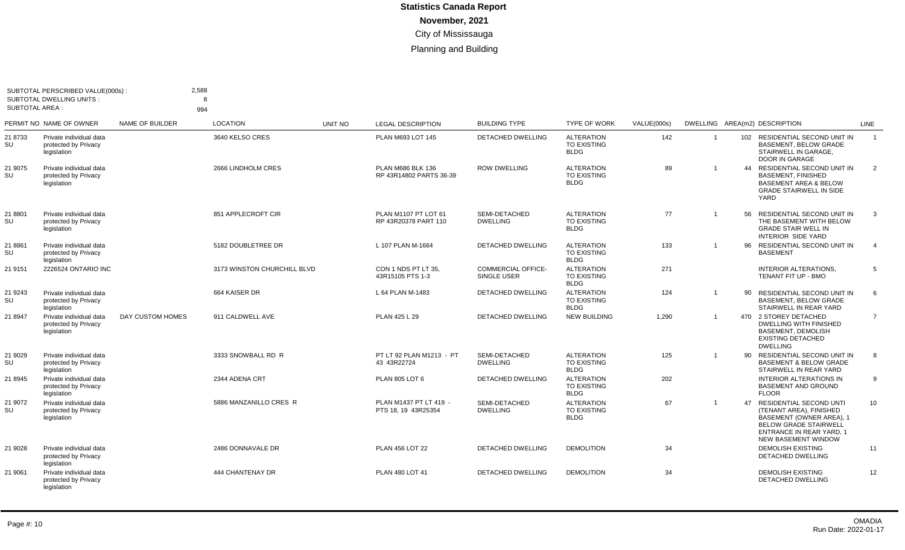| <b>SUBTOTAL AREA:</b> | SUBTOTAL PERSCRIBED VALUE(000s):<br><b>SUBTOTAL DWELLING UNITS:</b> | 2,588            | $\mathbf{R}$                |                |                                               |                                          |                                                        |             |                |    |                                                                                                                                                                                 |                |
|-----------------------|---------------------------------------------------------------------|------------------|-----------------------------|----------------|-----------------------------------------------|------------------------------------------|--------------------------------------------------------|-------------|----------------|----|---------------------------------------------------------------------------------------------------------------------------------------------------------------------------------|----------------|
|                       | PERMIT NO NAME OF OWNER                                             | NAME OF BUILDER  | 994<br><b>LOCATION</b>      | <b>UNIT NO</b> | <b>LEGAL DESCRIPTION</b>                      | <b>BUILDING TYPE</b>                     | <b>TYPE OF WORK</b>                                    | VALUE(000s) |                |    | DWELLING AREA(m2) DESCRIPTION                                                                                                                                                   | <b>LINE</b>    |
| 21 8733<br>SU         | Private individual data<br>protected by Privacy<br>legislation      |                  | 3640 KELSO CRES             |                | PLAN M693 LOT 145                             | <b>DETACHED DWELLING</b>                 | <b>ALTERATION</b><br><b>TO EXISTING</b><br><b>BLDG</b> | 142         | $\overline{1}$ |    | 102 RESIDENTIAL SECOND UNIT IN<br><b>BASEMENT, BELOW GRADE</b><br>STAIRWELL IN GARAGE.<br>DOOR IN GARAGE                                                                        | $\overline{1}$ |
| 21 9075<br>SU         | Private individual data<br>protected by Privacy<br>legislation      |                  | 2666 LINDHOLM CRES          |                | PLAN M686 BLK 136<br>RP 43R14802 PARTS 36-39  | <b>ROW DWELLING</b>                      | <b>ALTERATION</b><br><b>TO EXISTING</b><br><b>BLDG</b> | 89          | $\overline{1}$ |    | 44 RESIDENTIAL SECOND UNIT IN<br><b>BASEMENT, FINISHED</b><br><b>BASEMENT AREA &amp; BELOW</b><br><b>GRADE STAIRWELL IN SIDE</b><br>YARD                                        | 2              |
| 21 8801<br>SU         | Private individual data<br>protected by Privacy<br>legislation      |                  | 851 APPLECROFT CIR          |                | PLAN M1107 PT LOT 61<br>RP 43R20378 PART 110  | SEMI-DETACHED<br><b>DWELLING</b>         | <b>ALTERATION</b><br><b>TO EXISTING</b><br><b>BLDG</b> | 77          | $\overline{1}$ | 56 | RESIDENTIAL SECOND UNIT IN<br>THE BASEMENT WITH BELOW<br><b>GRADE STAIR WELL IN</b><br>INTERIOR SIDE YARD                                                                       | $\mathbf{3}$   |
| 21 8861<br>SU         | Private individual data<br>protected by Privacy<br>legislation      |                  | 5182 DOUBLETREE DR          |                | L 107 PLAN M-1664                             | <b>DETACHED DWELLING</b>                 | <b>ALTERATION</b><br><b>TO EXISTING</b><br><b>BLDG</b> | 133         |                |    | 96 RESIDENTIAL SECOND UNIT IN<br><b>BASEMENT</b>                                                                                                                                | $\overline{4}$ |
| 21 9151               | 2226524 ONTARIO INC                                                 |                  | 3173 WINSTON CHURCHILL BLVD |                | CON 1 NDS PT LT 35.<br>43R15105 PTS 1-3       | <b>COMMERCIAL OFFICE-</b><br>SINGLE USER | <b>ALTERATION</b><br>TO EXISTING<br><b>BLDG</b>        | 271         |                |    | <b>INTERIOR ALTERATIONS.</b><br>TENANT FIT UP - BMO                                                                                                                             | 5              |
| 21 9243<br>SU         | Private individual data<br>protected by Privacy<br>legislation      |                  | 664 KAISER DR               |                | L 64 PLAN M-1483                              | DETACHED DWELLING                        | <b>ALTERATION</b><br><b>TO EXISTING</b><br><b>BLDG</b> | 124         | $\overline{1}$ | 90 | <b>RESIDENTIAL SECOND UNIT IN</b><br><b>BASEMENT, BELOW GRADE</b><br>STAIRWELL IN REAR YARD                                                                                     | 6              |
| 21 8947               | Private individual data<br>protected by Privacy<br>legislation      | DAY CUSTOM HOMES | 911 CALDWELL AVE            |                | PLAN 425 L 29                                 | <b>DETACHED DWELLING</b>                 | <b>NEW BUILDING</b>                                    | 1,290       |                |    | 470 2 STOREY DETACHED<br>DWELLING WITH FINISHED<br><b>BASEMENT, DEMOLISH</b><br><b>EXISTING DETACHED</b><br><b>DWELLING</b>                                                     | $\overline{7}$ |
| 21 9029<br>SU         | Private individual data<br>protected by Privacy<br>legislation      |                  | 3333 SNOWBALL RD R          |                | PT LT 92 PLAN M1213 - PT<br>43 43R22724       | SEMI-DETACHED<br><b>DWELLING</b>         | <b>ALTERATION</b><br><b>TO EXISTING</b><br><b>BLDG</b> | 125         |                |    | 90 RESIDENTIAL SECOND UNIT IN<br><b>BASEMENT &amp; BELOW GRADE</b><br>STAIRWELL IN REAR YARD                                                                                    | 8              |
| 21 8945               | Private individual data<br>protected by Privacy<br>legislation      |                  | 2344 ADENA CRT              |                | <b>PLAN 805 LOT 6</b>                         | <b>DETACHED DWELLING</b>                 | <b>ALTERATION</b><br><b>TO EXISTING</b><br><b>BLDG</b> | 202         |                |    | <b>INTERIOR ALTERATIONS IN</b><br><b>BASEMENT AND GROUND</b><br><b>FLOOR</b>                                                                                                    | 9              |
| 21 9072<br>SU         | Private individual data<br>protected by Privacy<br>legislation      |                  | 5886 MANZANILLO CRES R      |                | PLAN M1437 PT LT 419 -<br>PTS 18, 19 43R25354 | SEMI-DETACHED<br><b>DWELLING</b>         | <b>ALTERATION</b><br><b>TO EXISTING</b><br><b>BLDG</b> | 67          | $\overline{1}$ | 47 | RESIDENTIAL SECOND UNTI<br>(TENANT AREA), FINISHED<br>BASEMENT (OWNER AREA), 1<br><b>BELOW GRADE STAIRWELL</b><br><b>ENTRANCE IN REAR YARD. 1</b><br><b>NEW BASEMENT WINDOW</b> | 10             |
| 21 9028               | Private individual data<br>protected by Privacy<br>legislation      |                  | 2486 DONNAVALE DR           |                | <b>PLAN 456 LOT 22</b>                        | <b>DETACHED DWELLING</b>                 | <b>DEMOLITION</b>                                      | 34          |                |    | <b>DEMOLISH EXISTING</b><br>DETACHED DWELLING                                                                                                                                   | 11             |
| 21 9061               | Private individual data<br>protected by Privacy<br>legislation      |                  | 444 CHANTENAY DR            |                | PLAN 480 LOT 41                               | <b>DETACHED DWELLING</b>                 | <b>DEMOLITION</b>                                      | 34          |                |    | <b>DEMOLISH EXISTING</b><br><b>DETACHED DWELLING</b>                                                                                                                            | 12             |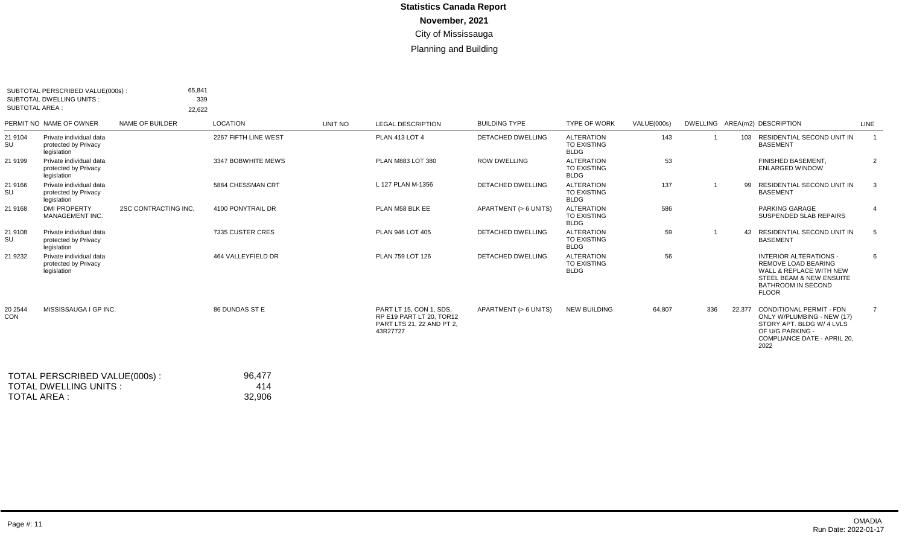| <b>SUBTOTAL AREA:</b> | SUBTOTAL PERSCRIBED VALUE(000s):<br><b>SUBTOTAL DWELLING UNITS:</b> | 65,841<br>22,622       | 339                  |         |                                                                                              |                          |                                                        |             |     |        |                                                                                                                                                                            |                 |
|-----------------------|---------------------------------------------------------------------|------------------------|----------------------|---------|----------------------------------------------------------------------------------------------|--------------------------|--------------------------------------------------------|-------------|-----|--------|----------------------------------------------------------------------------------------------------------------------------------------------------------------------------|-----------------|
|                       | PERMIT NO NAME OF OWNER                                             | <b>NAME OF BUILDER</b> | <b>LOCATION</b>      | UNIT NO | <b>LEGAL DESCRIPTION</b>                                                                     | <b>BUILDING TYPE</b>     | <b>TYPE OF WORK</b>                                    | VALUE(000s) |     |        | DWELLING AREA(m2) DESCRIPTION                                                                                                                                              | LINE            |
| 21 9104<br>SU         | Private individual data<br>protected by Privacy<br>legislation      |                        | 2267 FIFTH LINE WEST |         | <b>PLAN 413 LOT 4</b>                                                                        | <b>DETACHED DWELLING</b> | <b>ALTERATION</b><br>TO EXISTING<br><b>BLDG</b>        | 143         |     |        | 103 RESIDENTIAL SECOND UNIT IN<br><b>BASEMENT</b>                                                                                                                          |                 |
| 21 9199               | Private individual data<br>protected by Privacy<br>legislation      |                        | 3347 BOBWHITE MEWS   |         | PLAN M883 LOT 380                                                                            | <b>ROW DWELLING</b>      | <b>ALTERATION</b><br><b>TO EXISTING</b><br><b>BLDG</b> | 53          |     |        | FINISHED BASEMENT.<br><b>ENLARGED WINDOW</b>                                                                                                                               | $\overline{2}$  |
| 21 9166<br>SU         | Private individual data<br>protected by Privacy<br>legislation      |                        | 5884 CHESSMAN CRT    |         | L 127 PLAN M-1356                                                                            | <b>DETACHED DWELLING</b> | <b>ALTERATION</b><br><b>TO EXISTING</b><br><b>BLDG</b> | 137         |     | 99     | RESIDENTIAL SECOND UNIT IN<br><b>BASEMENT</b>                                                                                                                              | 3               |
| 21 9168               | <b>DMI PROPERTY</b><br>MANAGEMENT INC.                              | 2SC CONTRACTING INC.   | 4100 PONYTRAIL DR    |         | PLAN M58 BLK EE                                                                              | APARTMENT (> 6 UNITS)    | <b>ALTERATION</b><br>TO EXISTING<br><b>BLDG</b>        | 586         |     |        | PARKING GARAGE<br>SUSPENDED SLAB REPAIRS                                                                                                                                   | $\overline{4}$  |
| 21 9108<br>SU         | Private individual data<br>protected by Privacy<br>legislation      |                        | 7335 CUSTER CRES     |         | PLAN 946 LOT 405                                                                             | <b>DETACHED DWELLING</b> | <b>ALTERATION</b><br><b>TO EXISTING</b><br><b>BLDG</b> | 59          |     | 43     | RESIDENTIAL SECOND UNIT IN<br><b>BASEMENT</b>                                                                                                                              | 5               |
| 21 9232               | Private individual data<br>protected by Privacy<br>legislation      |                        | 464 VALLEYFIELD DR   |         | PLAN 759 LOT 126                                                                             | <b>DETACHED DWELLING</b> | <b>ALTERATION</b><br><b>TO EXISTING</b><br><b>BLDG</b> | 56          |     |        | <b>INTERIOR ALTERATIONS -</b><br><b>REMOVE LOAD BEARING</b><br>WALL & REPLACE WITH NEW<br><b>STEEL BEAM &amp; NEW ENSUITE</b><br><b>BATHROOM IN SECOND</b><br><b>FLOOR</b> | 6               |
| 20 2544<br>CON        | MISSISSAUGA I GP INC.                                               |                        | 86 DUNDAS ST E       |         | PART LT 15, CON 1, SDS.<br>RP E19 PART LT 20. TOR12<br>PART LTS 21, 22 AND PT 2,<br>43R27727 | APARTMENT (> 6 UNITS)    | <b>NEW BUILDING</b>                                    | 64,807      | 336 | 22.377 | CONDITIONAL PERMIT - FDN<br>ONLY W/PLUMBING - NEW (17)<br>STORY APT. BLDG W/ 4 LVLS<br>OF U/G PARKING -<br>COMPLIANCE DATE - APRIL 20.<br>2022                             | $7\overline{ }$ |

| TOTAL PERSCRIBED VALUE(000s): | 96.477 |
|-------------------------------|--------|
| TOTAL DWELLING UNITS:         | 414    |
| TOTAL AREA :                  | 32.906 |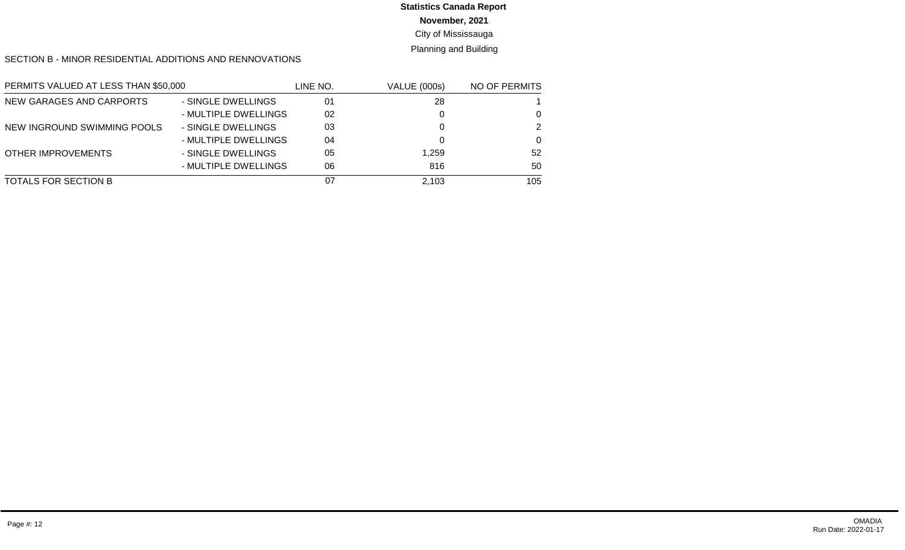# **Statistics Canada Report**

#### **November, 2021**

#### City of Mississauga

#### Planning and Building

#### SECTION B - MINOR RESIDENTIAL ADDITIONS AND RENNOVATIONS

| PERMITS VALUED AT LESS THAN \$50,000 |                      | LINE NO. | <b>VALUE (000s)</b> | <b>NO OF PERMITS</b> |
|--------------------------------------|----------------------|----------|---------------------|----------------------|
| NEW GARAGES AND CARPORTS             | - SINGLE DWELLINGS   | 01       | 28                  |                      |
|                                      | - MULTIPLE DWELLINGS | 02       |                     | $\Omega$             |
| NEW INGROUND SWIMMING POOLS          | - SINGLE DWELLINGS   | 03       |                     | 2                    |
|                                      | - MULTIPLE DWELLINGS | 04       |                     | $\Omega$             |
| <b>OTHER IMPROVEMENTS</b>            | - SINGLE DWELLINGS   | 05       | 1.259               | 52                   |
|                                      | - MULTIPLE DWELLINGS | 06       | 816                 | 50                   |
| TOTALS FOR SECTION B                 |                      | 07       | 2,103               | 105                  |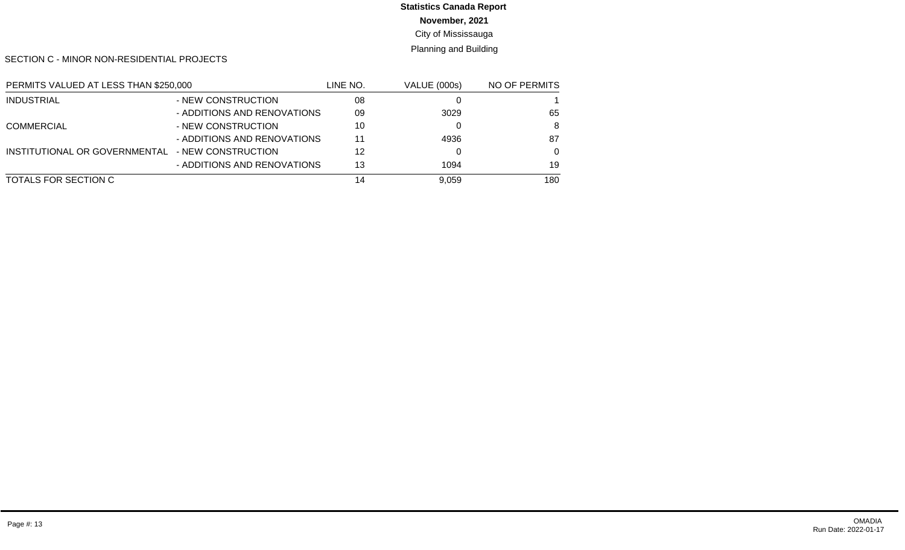# **Statistics Canada Report**

**November, 2021**

City of Mississauga

Planning and Building

SECTION C - MINOR NON-RESIDENTIAL PROJECTS

| PERMITS VALUED AT LESS THAN \$250,000 |                             | LINE NO. | <b>VALUE (000s)</b> | NO OF PERMITS |  |
|---------------------------------------|-----------------------------|----------|---------------------|---------------|--|
| <b>INDUSTRIAL</b>                     | - NEW CONSTRUCTION          | 08       |                     |               |  |
|                                       | - ADDITIONS AND RENOVATIONS | 09       | 3029                | 65            |  |
| <b>COMMERCIAL</b>                     | - NEW CONSTRUCTION          | 10       |                     | 8             |  |
|                                       | - ADDITIONS AND RENOVATIONS | 11       | 4936                | 87            |  |
| INSTITUTIONAL OR GOVERNMENTAL         | - NEW CONSTRUCTION          | 12       |                     | $\Omega$      |  |
|                                       | - ADDITIONS AND RENOVATIONS | 13       | 1094                | 19            |  |
| TOTALS FOR SECTION C                  |                             | 14       | 9.059               | 180           |  |